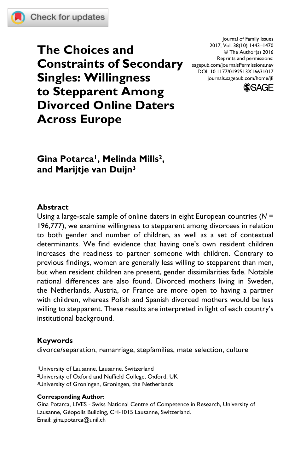

**The Choices and Constraints of Secondary Singles: Willingness to Stepparent Among Divorced Online Daters Across Europe**

Journal of Family Issues 2017, Vol. 38(10) 1443–1470 © The Author(s) 2016 Reprints and permissions: [sagepub.com/journalsPermissions.nav](http://sagepub.com/journalsPermissions.nav) DOI: [10.1177/0192513X16631017](http://doi.org/10.1177/0192513X16631017) [journals.sagepub.com/home/jf](http://journals.sagepub.com/home/jfi)i



**Gina Potarca1, Melinda Mills2, and Marijtje van Duijn3**

#### **Abstract**

Using a large-scale sample of online daters in eight European countries (*N* = 196,777), we examine willingness to stepparent among divorcees in relation to both gender and number of children, as well as a set of contextual determinants. We find evidence that having one's own resident children increases the readiness to partner someone with children. Contrary to previous findings, women are generally less willing to stepparent than men, but when resident children are present, gender dissimilarities fade. Notable national differences are also found. Divorced mothers living in Sweden, the Netherlands, Austria, or France are more open to having a partner with children, whereas Polish and Spanish divorced mothers would be less willing to stepparent. These results are interpreted in light of each country's institutional background.

### **Keywords**

divorce/separation, remarriage, stepfamilies, mate selection, culture

2University of Oxford and Nuffield College, Oxford, UK

<sup>3</sup>University of Groningen, Groningen, the Netherlands

#### **Corresponding Author:**

Gina Potarca, LIVES - Swiss National Centre of Competence in Research, University of Lausanne, Géopolis Building, CH-1015 Lausanne, Switzerland. Email: [gina.potarca@unil.ch](mailto:gina.potarca@unil.ch)

<sup>1</sup>University of Lausanne, Lausanne, Switzerland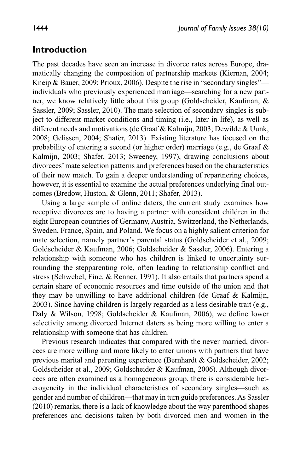# **Introduction**

The past decades have seen an increase in divorce rates across Europe, dramatically changing the composition of partnership markets (Kiernan, 2004; Kneip & Bauer, 2009; Prioux, 2006). Despite the rise in "secondary singles" individuals who previously experienced marriage—searching for a new partner, we know relatively little about this group (Goldscheider, Kaufman, & Sassler, 2009; Sassler, 2010). The mate selection of secondary singles is subject to different market conditions and timing (i.e., later in life), as well as different needs and motivations (de Graaf & Kalmijn, 2003; Dewilde & Uunk, 2008; Gelissen, 2004; Shafer, 2013). Existing literature has focused on the probability of entering a second (or higher order) marriage (e.g., de Graaf & Kalmijn, 2003; Shafer, 2013; Sweeney, 1997), drawing conclusions about divorcees' mate selection patterns and preferences based on the characteristics of their new match. To gain a deeper understanding of repartnering choices, however, it is essential to examine the actual preferences underlying final outcomes (Bredow, Huston, & Glenn, 2011; Shafer, 2013).

Using a large sample of online daters, the current study examines how receptive divorcees are to having a partner with coresident children in the eight European countries of Germany, Austria, Switzerland, the Netherlands, Sweden, France, Spain, and Poland. We focus on a highly salient criterion for mate selection, namely partner's parental status (Goldscheider et al., 2009; Goldscheider & Kaufman, 2006; Goldscheider & Sassler, 2006). Entering a relationship with someone who has children is linked to uncertainty surrounding the stepparenting role, often leading to relationship conflict and stress (Schwebel, Fine, & Renner, 1991). It also entails that partners spend a certain share of economic resources and time outside of the union and that they may be unwilling to have additional children (de Graaf & Kalmijn, 2003). Since having children is largely regarded as a less desirable trait (e.g., Daly & Wilson, 1998; Goldscheider & Kaufman, 2006), we define lower selectivity among divorced Internet daters as being more willing to enter a relationship with someone that has children.

Previous research indicates that compared with the never married, divorcees are more willing and more likely to enter unions with partners that have previous marital and parenting experience (Bernhardt & Goldscheider, 2002; Goldscheider et al., 2009; Goldscheider & Kaufman, 2006). Although divorcees are often examined as a homogeneous group, there is considerable heterogeneity in the individual characteristics of secondary singles—such as gender and number of children—that may in turn guide preferences. As Sassler (2010) remarks, there is a lack of knowledge about the way parenthood shapes preferences and decisions taken by both divorced men and women in the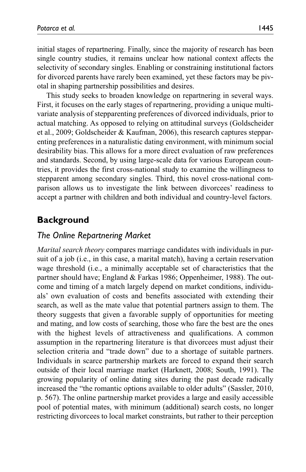initial stages of repartnering. Finally, since the majority of research has been single country studies, it remains unclear how national context affects the selectivity of secondary singles. Enabling or constraining institutional factors for divorced parents have rarely been examined, yet these factors may be pivotal in shaping partnership possibilities and desires.

This study seeks to broaden knowledge on repartnering in several ways. First, it focuses on the early stages of repartnering, providing a unique multivariate analysis of stepparenting preferences of divorced individuals, prior to actual matching. As opposed to relying on attitudinal surveys (Goldscheider et al., 2009; Goldscheider & Kaufman, 2006), this research captures stepparenting preferences in a naturalistic dating environment, with minimum social desirability bias. This allows for a more direct evaluation of raw preferences and standards. Second, by using large-scale data for various European countries, it provides the first cross-national study to examine the willingness to stepparent among secondary singles. Third, this novel cross-national comparison allows us to investigate the link between divorcees' readiness to accept a partner with children and both individual and country-level factors.

# **Background**

## *The Online Repartnering Market*

*Marital search theory* compares marriage candidates with individuals in pursuit of a job (i.e., in this case, a marital match), having a certain reservation wage threshold (i.e., a minimally acceptable set of characteristics that the partner should have; England & Farkas 1986; Oppenheimer, 1988). The outcome and timing of a match largely depend on market conditions, individuals' own evaluation of costs and benefits associated with extending their search, as well as the mate value that potential partners assign to them. The theory suggests that given a favorable supply of opportunities for meeting and mating, and low costs of searching, those who fare the best are the ones with the highest levels of attractiveness and qualifications. A common assumption in the repartnering literature is that divorcees must adjust their selection criteria and "trade down" due to a shortage of suitable partners. Individuals in scarce partnership markets are forced to expand their search outside of their local marriage market (Harknett, 2008; South, 1991). The growing popularity of online dating sites during the past decade radically increased the "the romantic options available to older adults" (Sassler, 2010, p. 567). The online partnership market provides a large and easily accessible pool of potential mates, with minimum (additional) search costs, no longer restricting divorcees to local market constraints, but rather to their perception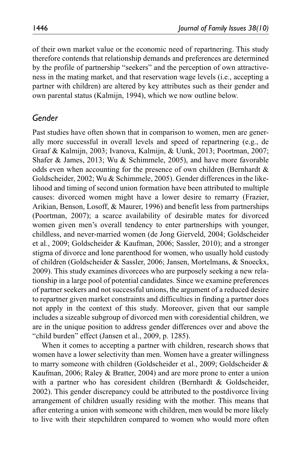of their own market value or the economic need of repartnering. This study therefore contends that relationship demands and preferences are determined by the profile of partnership "seekers" and the perception of own attractiveness in the mating market, and that reservation wage levels (i.e., accepting a partner with children) are altered by key attributes such as their gender and own parental status (Kalmijn, 1994), which we now outline below.

# *Gender*

Past studies have often shown that in comparison to women, men are generally more successful in overall levels and speed of repartnering (e.g., de Graaf & Kalmijn, 2003; Ivanova, Kalmijn, & Uunk, 2013; Poortman, 2007; Shafer & James, 2013; Wu & Schimmele, 2005), and have more favorable odds even when accounting for the presence of own children (Bernhardt & Goldscheider, 2002; Wu & Schimmele, 2005). Gender differences in the likelihood and timing of second union formation have been attributed to multiple causes: divorced women might have a lower desire to remarry (Frazier, Arikian, Benson, Losoff, & Maurer, 1996) and benefit less from partnerships (Poortman, 2007); a scarce availability of desirable mates for divorced women given men's overall tendency to enter partnerships with younger, childless, and never-married women (de Jong Gierveld, 2004; Goldscheider et al., 2009; Goldscheider & Kaufman, 2006; Sassler, 2010); and a stronger stigma of divorce and lone parenthood for women, who usually hold custody of children (Goldscheider & Sassler, 2006; Jansen, Mortelmans, & Snoeckx, 2009). This study examines divorcees who are purposely seeking a new relationship in a large pool of potential candidates. Since we examine preferences of partner seekers and not successful unions, the argument of a reduced desire to repartner given market constraints and difficulties in finding a partner does not apply in the context of this study. Moreover, given that our sample includes a sizeable subgroup of divorced men with coresidential children, we are in the unique position to address gender differences over and above the "child burden" effect (Jansen et al., 2009, p. 1285).

When it comes to accepting a partner with children, research shows that women have a lower selectivity than men. Women have a greater willingness to marry someone with children (Goldscheider et al., 2009; Goldscheider & Kaufman, 2006; Raley & Bratter, 2004) and are more prone to enter a union with a partner who has coresident children (Bernhardt & Goldscheider, 2002). This gender discrepancy could be attributed to the postdivorce living arrangement of children usually residing with the mother. This means that after entering a union with someone with children, men would be more likely to live with their stepchildren compared to women who would more often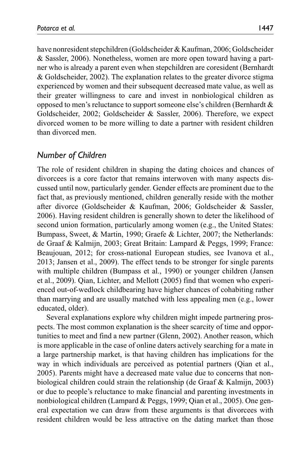have nonresident stepchildren (Goldscheider & Kaufman, 2006; Goldscheider & Sassler, 2006). Nonetheless, women are more open toward having a partner who is already a parent even when stepchildren are coresident (Bernhardt & Goldscheider, 2002). The explanation relates to the greater divorce stigma experienced by women and their subsequent decreased mate value, as well as their greater willingness to care and invest in nonbiological children as opposed to men's reluctance to support someone else's children (Bernhardt & Goldscheider, 2002; Goldscheider & Sassler, 2006). Therefore, we expect divorced women to be more willing to date a partner with resident children than divorced men.

## *Number of Children*

The role of resident children in shaping the dating choices and chances of divorcees is a core factor that remains interwoven with many aspects discussed until now, particularly gender. Gender effects are prominent due to the fact that, as previously mentioned, children generally reside with the mother after divorce (Goldscheider & Kaufman, 2006; Goldscheider & Sassler, 2006). Having resident children is generally shown to deter the likelihood of second union formation, particularly among women (e.g., the United States: Bumpass, Sweet, & Martin, 1990; Graefe & Lichter, 2007; the Netherlands: de Graaf & Kalmijn, 2003; Great Britain: Lampard & Peggs, 1999; France: Beaujouan, 2012; for cross-national European studies, see Ivanova et al., 2013; Jansen et al., 2009). The effect tends to be stronger for single parents with multiple children (Bumpass et al., 1990) or younger children (Jansen et al., 2009). Qian, Lichter, and Mellott (2005) find that women who experienced out-of-wedlock childbearing have higher chances of cohabiting rather than marrying and are usually matched with less appealing men (e.g., lower educated, older).

Several explanations explore why children might impede partnering prospects. The most common explanation is the sheer scarcity of time and opportunities to meet and find a new partner (Glenn, 2002). Another reason, which is more applicable in the case of online daters actively searching for a mate in a large partnership market, is that having children has implications for the way in which individuals are perceived as potential partners (Qian et al., 2005). Parents might have a decreased mate value due to concerns that nonbiological children could strain the relationship (de Graaf & Kalmijn, 2003) or due to people's reluctance to make financial and parenting investments in nonbiological children (Lampard & Peggs, 1999; Qian et al., 2005). One general expectation we can draw from these arguments is that divorcees with resident children would be less attractive on the dating market than those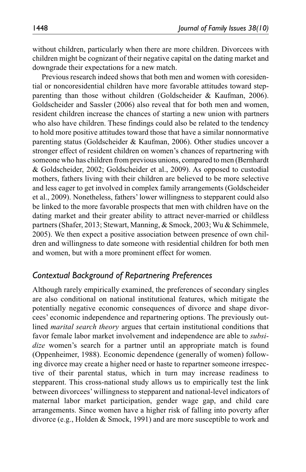without children, particularly when there are more children. Divorcees with children might be cognizant of their negative capital on the dating market and downgrade their expectations for a new match.

Previous research indeed shows that both men and women with coresidential or noncoresidential children have more favorable attitudes toward stepparenting than those without children (Goldscheider & Kaufman, 2006). Goldscheider and Sassler (2006) also reveal that for both men and women, resident children increase the chances of starting a new union with partners who also have children. These findings could also be related to the tendency to hold more positive attitudes toward those that have a similar nonnormative parenting status (Goldscheider & Kaufman, 2006). Other studies uncover a stronger effect of resident children on women's chances of repartnering with someone who has children from previous unions, compared to men (Bernhardt & Goldscheider, 2002; Goldscheider et al., 2009). As opposed to custodial mothers, fathers living with their children are believed to be more selective and less eager to get involved in complex family arrangements (Goldscheider et al., 2009). Nonetheless, fathers' lower willingness to stepparent could also be linked to the more favorable prospects that men with children have on the dating market and their greater ability to attract never-married or childless partners (Shafer, 2013; Stewart, Manning, & Smock, 2003; Wu & Schimmele, 2005). We then expect a positive association between presence of own children and willingness to date someone with residential children for both men and women, but with a more prominent effect for women.

## *Contextual Background of Repartnering Preferences*

Although rarely empirically examined, the preferences of secondary singles are also conditional on national institutional features, which mitigate the potentially negative economic consequences of divorce and shape divorcees' economic independence and repartnering options. The previously outlined *marital search theory* argues that certain institutional conditions that favor female labor market involvement and independence are able to *subsidize* women's search for a partner until an appropriate match is found (Oppenheimer, 1988). Economic dependence (generally of women) following divorce may create a higher need or haste to repartner someone irrespective of their parental status, which in turn may increase readiness to stepparent. This cross-national study allows us to empirically test the link between divorcees' willingness to stepparent and national-level indicators of maternal labor market participation, gender wage gap, and child care arrangements. Since women have a higher risk of falling into poverty after divorce (e.g., Holden & Smock, 1991) and are more susceptible to work and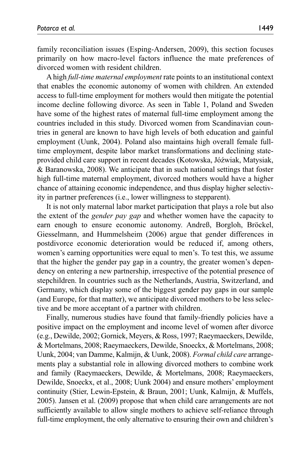family reconciliation issues (Esping-Andersen, 2009), this section focuses primarily on how macro-level factors influence the mate preferences of divorced women with resident children.

A high *full-time maternal employment* rate points to an institutional context that enables the economic autonomy of women with children. An extended access to full-time employment for mothers would then mitigate the potential income decline following divorce. As seen in Table 1, Poland and Sweden have some of the highest rates of maternal full-time employment among the countries included in this study. Divorced women from Scandinavian countries in general are known to have high levels of both education and gainful employment (Uunk, 2004). Poland also maintains high overall female fulltime employment, despite labor market transformations and declining stateprovided child care support in recent decades (Kotowska, Jóźwiak, Matysiak, & Baranowska, 2008). We anticipate that in such national settings that foster high full-time maternal employment, divorced mothers would have a higher chance of attaining economic independence, and thus display higher selectivity in partner preferences (i.e., lower willingness to stepparent).

It is not only maternal labor market participation that plays a role but also the extent of the *gender pay gap* and whether women have the capacity to earn enough to ensure economic autonomy. Andreß, Borgloh, Bröckel, Giesselmann, and Hummelsheim (2006) argue that gender differences in postdivorce economic deterioration would be reduced if, among others, women's earning opportunities were equal to men's. To test this, we assume that the higher the gender pay gap in a country, the greater women's dependency on entering a new partnership, irrespective of the potential presence of stepchildren. In countries such as the Netherlands, Austria, Switzerland, and Germany, which display some of the biggest gender pay gaps in our sample (and Europe, for that matter), we anticipate divorced mothers to be less selective and be more acceptant of a partner with children.

Finally, numerous studies have found that family-friendly policies have a positive impact on the employment and income level of women after divorce (e.g., Dewilde, 2002; Gornick, Meyers, & Ross, 1997; Raeymaeckers, Dewilde, & Mortelmans, 2008; Raeymaeckers, Dewilde, Snoeckx, & Mortelmans, 2008; Uunk, 2004; van Damme, Kalmijn, & Uunk, 2008). *Formal child care* arrangements play a substantial role in allowing divorced mothers to combine work and family (Raeymaeckers, Dewilde, & Mortelmans, 2008; Raeymaeckers, Dewilde, Snoeckx, et al., 2008; Uunk 2004) and ensure mothers' employment continuity (Stier, Lewin-Epstein, & Braun, 2001; Uunk, Kalmijn, & Muffels, 2005). Jansen et al. (2009) propose that when child care arrangements are not sufficiently available to allow single mothers to achieve self-reliance through full-time employment, the only alternative to ensuring their own and children's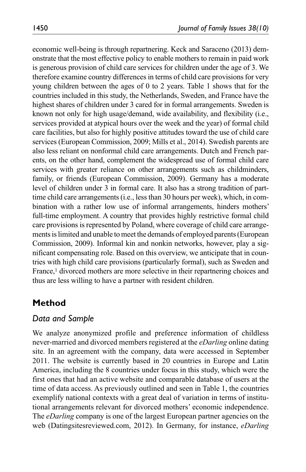economic well-being is through repartnering. Keck and Saraceno (2013) demonstrate that the most effective policy to enable mothers to remain in paid work is generous provision of child care services for children under the age of 3. We therefore examine country differences in terms of child care provisions for very young children between the ages of 0 to 2 years. Table 1 shows that for the countries included in this study, the Netherlands, Sweden, and France have the highest shares of children under 3 cared for in formal arrangements. Sweden is known not only for high usage/demand, wide availability, and flexibility (i.e., services provided at atypical hours over the week and the year) of formal child care facilities, but also for highly positive attitudes toward the use of child care services (European Commission, 2009; Mills et al., 2014). Swedish parents are also less reliant on nonformal child care arrangements. Dutch and French parents, on the other hand, complement the widespread use of formal child care services with greater reliance on other arrangements such as childminders, family, or friends (European Commission, 2009). Germany has a moderate level of children under 3 in formal care. It also has a strong tradition of parttime child care arrangements (i.e., less than 30 hours per week), which, in combination with a rather low use of informal arrangements, hinders mothers' full-time employment. A country that provides highly restrictive formal child care provisions is represented by Poland, where coverage of child care arrangements is limited and unable to meet the demands of employed parents (European Commission, 2009). Informal kin and nonkin networks, however, play a significant compensating role. Based on this overview, we anticipate that in countries with high child care provisions (particularly formal), such as Sweden and France,<sup>1</sup> divorced mothers are more selective in their repartnering choices and thus are less willing to have a partner with resident children.

# **Method**

# *Data and Sample*

We analyze anonymized profile and preference information of childless never-married and divorced members registered at the *eDarling* online dating site. In an agreement with the company, data were accessed in September 2011. The website is currently based in 20 countries in Europe and Latin America, including the 8 countries under focus in this study, which were the first ones that had an active website and comparable database of users at the time of data access. As previously outlined and seen in Table 1, the countries exemplify national contexts with a great deal of variation in terms of institutional arrangements relevant for divorced mothers' economic independence. The *eDarling* company is one of the largest European partner agencies on the web (Datingsitesreviewed.com, 2012). In Germany, for instance, *eDarling*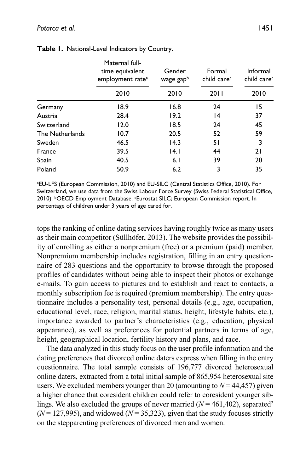|                 | Maternal full-<br>time equivalent<br>employment rate <sup>a</sup> | Gender<br>wage gap <sup>b</sup> | Formal<br>child care <sup>c</sup> | Informal<br>child care <sup>c</sup> |
|-----------------|-------------------------------------------------------------------|---------------------------------|-----------------------------------|-------------------------------------|
|                 | 2010                                                              | 2010                            | 2011                              | 2010                                |
| Germany         | 18.9                                                              | 16.8                            | 24                                | 15                                  |
| Austria         | 28.4                                                              | 19.2                            | $\overline{14}$                   | 37                                  |
| Switzerland     | 12.0                                                              | 18.5                            | 24                                | 45                                  |
| The Netherlands | 10.7                                                              | 20.5                            | 52                                | 59                                  |
| Sweden          | 46.5                                                              | 14.3                            | 51                                | 3                                   |
| France          | 39.5                                                              | 4.1                             | 44                                | 21                                  |
| Spain           | 40.5                                                              | 6.1                             | 39                                | 20                                  |
| Poland          | 50.9                                                              | 6.2                             | 3                                 | 35                                  |

#### **Table 1.** National-Level Indicators by Country.

a EU-LFS (European Commission, 2010) and EU-SILC (Central Statistics Office, 2010). For Switzerland, we use data from the Swiss Labour Force Survey (Swiss Federal Statistical Office, 2010). **DOECD Employment Database. 'Eurostat SILC**; European Commission report. In percentage of children under 3 years of age cared for.

tops the ranking of online dating services having roughly twice as many users as their main competitor (Süllhöfer, 2013). The website provides the possibility of enrolling as either a nonpremium (free) or a premium (paid) member. Nonpremium membership includes registration, filling in an entry questionnaire of 283 questions and the opportunity to browse through the proposed profiles of candidates without being able to inspect their photos or exchange e-mails. To gain access to pictures and to establish and react to contacts, a monthly subscription fee is required (premium membership). The entry questionnaire includes a personality test, personal details (e.g., age, occupation, educational level, race, religion, marital status, height, lifestyle habits, etc.), importance awarded to partner's characteristics (e.g., education, physical appearance), as well as preferences for potential partners in terms of age, height, geographical location, fertility history and plans, and race.

The data analyzed in this study focus on the user profile information and the dating preferences that divorced online daters express when filling in the entry questionnaire. The total sample consists of 196,777 divorced heterosexual online daters, extracted from a total initial sample of 865,954 heterosexual site users. We excluded members younger than 20 (amounting to  $N = 44,457$ ) given a higher chance that coresident children could refer to coresident younger siblings. We also excluded the groups of never married  $(N = 461, 402)$ , separated<sup>2</sup>  $(N = 127,995)$ , and widowed  $(N = 35,323)$ , given that the study focuses strictly on the stepparenting preferences of divorced men and women.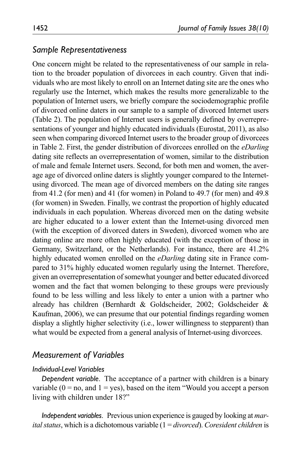### *Sample Representativeness*

One concern might be related to the representativeness of our sample in relation to the broader population of divorcees in each country. Given that individuals who are most likely to enroll on an Internet dating site are the ones who regularly use the Internet, which makes the results more generalizable to the population of Internet users, we briefly compare the sociodemographic profile of divorced online daters in our sample to a sample of divorced Internet users (Table 2). The population of Internet users is generally defined by overrepresentations of younger and highly educated individuals (Eurostat, 2011), as also seen when comparing divorced Internet users to the broader group of divorcees in Table 2. First, the gender distribution of divorcees enrolled on the *eDarling* dating site reflects an overrepresentation of women, similar to the distribution of male and female Internet users. Second, for both men and women, the average age of divorced online daters is slightly younger compared to the Internetusing divorced. The mean age of divorced members on the dating site ranges from 41.2 (for men) and 41 (for women) in Poland to 49.7 (for men) and 49.8 (for women) in Sweden. Finally, we contrast the proportion of highly educated individuals in each population. Whereas divorced men on the dating website are higher educated to a lower extent than the Internet-using divorced men (with the exception of divorced daters in Sweden), divorced women who are dating online are more often highly educated (with the exception of those in Germany, Switzerland, or the Netherlands). For instance, there are 41.2% highly educated women enrolled on the *eDarling* dating site in France compared to 31% highly educated women regularly using the Internet. Therefore, given an overrepresentation of somewhat younger and better educated divorced women and the fact that women belonging to these groups were previously found to be less willing and less likely to enter a union with a partner who already has children (Bernhardt & Goldscheider, 2002; Goldscheider & Kaufman, 2006), we can presume that our potential findings regarding women display a slightly higher selectivity (i.e., lower willingness to stepparent) than what would be expected from a general analysis of Internet-using divorcees.

### *Measurement of Variables*

#### *Individual-Level Variables*

*Dependent variable*. The acceptance of a partner with children is a binary variable  $(0 = no, and 1 = yes)$ , based on the item "Would you accept a person living with children under 18?"

*Independent variables*. Previous union experience is gauged by looking at *marital status*, which is a dichotomous variable (1 = *divorced*). *Coresident children* is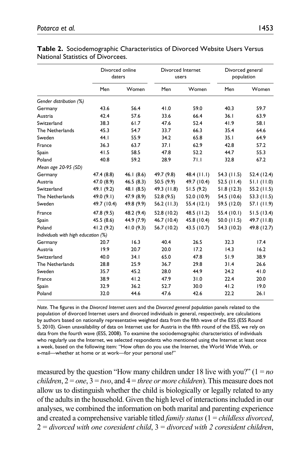|                                     | Divorced online<br>daters |            | Divorced Internet<br>users |               | Divorced general<br>population |               |
|-------------------------------------|---------------------------|------------|----------------------------|---------------|--------------------------------|---------------|
|                                     | Men                       | Women      | Men                        | Women         | Men                            | Women         |
| Gender distribution (%)             |                           |            |                            |               |                                |               |
| Germany                             | 43.6                      | 56.4       | 41.0                       | 59.0          | 40.3                           | 59.7          |
| Austria                             | 42.4                      | 57.6       | 33.6                       | 66.4          | 36.1                           | 63.9          |
| Switzerland                         | 38.3                      | 61.7       | 47.6                       | 52.4          | 41.9                           | 58.I          |
| The Netherlands                     | 45.3                      | 54.7       | 33.7                       | 66.3          | 35.4                           | 64.6          |
| Sweden                              | 44.1                      | 55.9       | 34.2                       | 65.8          | 35.1                           | 64.9          |
| France                              | 36.3                      | 63.7       | 37.1                       | 62.9          | 42.8                           | 57.2          |
| Spain                               | 41.5                      | 58.5       | 47.8                       | 52.2          | 44.7                           | 55.3          |
| Poland                              | 40.8                      | 59.2       | 28.9                       | 71.1          | 32.8                           | 67.2          |
| Mean age 20-95 (SD)                 |                           |            |                            |               |                                |               |
| Germany                             | 47.4 (8.8)                | 46.1(8.6)  | 49.7 (9.8)                 | 48.4 $(11.1)$ | $54.3$ (11.5)                  | 52.4 (12.4)   |
| Austria                             | 47.0 (8.9)                | 46.5(8.3)  | 50.5 (9.9)                 | 49.7 (10.4)   | 52.5 $(11.4)$                  | 51.1(11.0)    |
| Switzerland                         | 49.1 (9.2)                | 48.1 (8.5) | 49.3 (11.8)                | 51.5(9.2)     | 51.8(12.3)                     | $55.2$ (11.5) |
| The Netherlands                     | 49.0 (9.1)                | 47.9 (8.9) | 52.8 (9.5)                 | 52.0 (10.9)   | 54.5 (10.6)                    | $53.3$ (11.5) |
| Sweden                              | 49.7 (10.4)               | 49.8 (9.9) | $56.2$ (11.3)              | 55.4 (12.1)   | 59.5 (12.0)                    | 57.1 (11.9)   |
| France                              | 47.8 (9.5)                | 48.2 (9.4) | 52.8 (10.2)                | 48.5 (11.2)   | 55.4 (10.1)                    | 51.5(13.4)    |
| Spain                               | 45.5 (8.6)                | 44.9 (7.9) | 46.7 (10.4)                | 45.8 (10.4)   | $50.0$ (11.5)                  | 49.7 (11.8)   |
| Poland                              | 41.2(9.2)                 | 41.0(9.3)  | 56.7 (10.2)                | 43.5 (10.7)   | 54.3 (10.2)                    | 49.8 (12.7)   |
| Individuals with high education (%) |                           |            |                            |               |                                |               |
| Germany                             | 20.7                      | 16.3       | 40.4                       | 26.5          | 32.3                           | 17.4          |
| Austria                             | 19.9                      | 20.7       | 20.0                       | 17.2          | 14.3                           | 16.2          |
| Switzerland                         | 40.0                      | 34.1       | 65.0                       | 47.8          | 51.9                           | 38.9          |
| The Netherlands                     | 28.8                      | 25.9       | 36.7                       | 29.8          | 31.4                           | 26.6          |
| Sweden                              | 35.7                      | 45.2       | 28.0                       | 44.9          | 24.2                           | 41.0          |
| France                              | 38.9                      | 41.2       | 47.9                       | 31.0          | 22.4                           | 20.0          |
| Spain                               | 32.9                      | 36.2       | 52.7                       | 30.0          | 41.2                           | 19.0          |
| Poland                              | 32.0                      | 44.6       | 47.6                       | 42.6          | 22.2                           | 26.1          |

#### **Table 2.** Sociodemographic Characteristics of Divorced Website Users Versus National Statistics of Divorcees.

*Note*. The figures in the *Divorced Internet users* and the *Divorced general population* panels related to the population of divorced Internet users and divorced individuals in general, respectively, are calculations by authors based on nationally representative weighted data from the fifth wave of the ESS (ESS Round 5, 2010). Given unavailability of data on Internet use for Austria in the fifth round of the ESS, we rely on data from the fourth wave (ESS, 2008). To examine the sociodemographic characteristics of individuals who regularly use the Internet, we selected respondents who mentioned using the Internet at least once a week, based on the following item: "How often do you use the Internet, the World Wide Web, or e-mail—whether at home or at work—for your personal use?"

measured by the question "How many children under 18 live with you?"  $(1 = no$ *children*, 2 = *one*, 3 = *two*, and 4 = *three or more children*). This measure does not allow us to distinguish whether the child is biologically or legally related to any of the adults in the household. Given the high level of interactions included in our analyses, we combined the information on both marital and parenting experience and created a comprehensive variable titled *family status* (1 = *childless divorced*, 2 = *divorced with one coresident child*, 3 = *divorced with 2 coresident children*,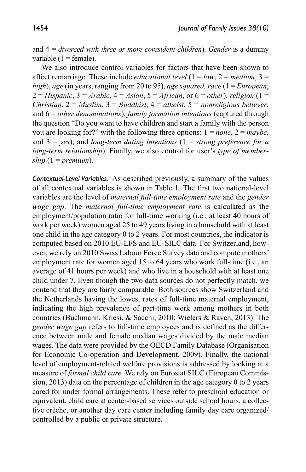and 4 = *divorced with three or more coresident children*). *Gender* is a dummy variable  $(1 =$  female).

We also introduce control variables for factors that have been shown to affect remarriage. These include *educational level*  $(1 = low, 2 = medium, 3 =$ *high*), *age* (in years, ranging from 20 to 95), *age squared, race* (1 = *European*, 2 = *Hispanic*, 3 = *Arabic*, 4 = *Asian*, 5 = *African*, or 6 = *other*), *religion* (1 = *Christian*, 2 = *Muslim*, 3 = *Buddhist*, 4 = *atheist*, 5 = *nonreligious believer*, and 6 = *other denominations*), *family formation intentions* (captured through the question "Do you want to have children and start a family with the person you are looking for?" with the following three options:  $1 = none$ ,  $2 = maybe$ , and 3 = *yes*), and *long-term dating intentions* (1 = *strong preference for a long-term relationship*). Finally, we also control for user's *type of member* $ship (1 = premium).$ 

*Contextual-Level Variables.* As described previously, a summary of the values of all contextual variables is shown in Table 1. The first two national-level variables are the level of *maternal full-time employment rate* and the *gender wage gap*. The *maternal full-time employment rate* is calculated as the employment/population ratio for full-time working (i.e., at least 40 hours of work per week) women aged 25 to 49 years living in a household with at least one child in the age category 0 to 2 years. For most countries, the indicator is computed based on 2010 EU-LFS and EU-SILC data. For Switzerland, however, we rely on 2010 Swiss Labour Force Survey data and compute mothers' employment rate for women aged 15 to 64 years who work full-time (i.e., an average of 41 hours per week) and who live in a household with at least one child under 7. Even though the two data sources do not perfectly match, we contend that they are fairly comparable. Both sources show Switzerland and the Netherlands having the lowest rates of full-time maternal employment, indicating the high prevalence of part-time work among mothers in both countries (Buchmann, Kriesi, & Sacchi, 2010; Wielers & Raven, 2013). The *gender wage gap* refers to full-time employees and is defined as the difference between male and female median wages divided by the male median wages. The data were provided by the OECD Family Database (Organisation for Economic Co-operation and Development, 2009). Finally, the national level of employment-related welfare provisions is addressed by looking at a measure of *formal child care*. We rely on Eurostat SILC (European Commission, 2013) data on the percentage of children in the age category 0 to 2 years cared for under formal arrangements. These refer to preschool education or equivalent, child care at center-based services outside school hours, a collective crèche, or another day care center including family day care organized/ controlled by a public or private structure.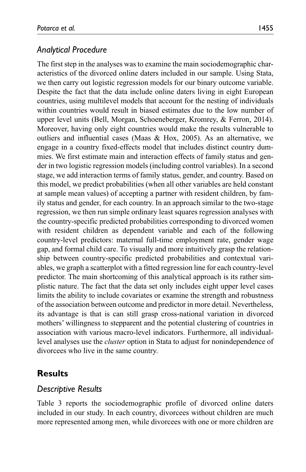## *Analytical Procedure*

The first step in the analyses was to examine the main sociodemographic characteristics of the divorced online daters included in our sample. Using Stata, we then carry out logistic regression models for our binary outcome variable. Despite the fact that the data include online daters living in eight European countries, using multilevel models that account for the nesting of individuals within countries would result in biased estimates due to the low number of upper level units (Bell, Morgan, Schoeneberger, Kromrey, & Ferron, 2014). Moreover, having only eight countries would make the results vulnerable to outliers and influential cases (Maas & Hox, 2005). As an alternative, we engage in a country fixed-effects model that includes distinct country dummies. We first estimate main and interaction effects of family status and gender in two logistic regression models (including control variables). In a second stage, we add interaction terms of family status, gender, and country. Based on this model, we predict probabilities (when all other variables are held constant at sample mean values) of accepting a partner with resident children, by family status and gender, for each country. In an approach similar to the two-stage regression, we then run simple ordinary least squares regression analyses with the country-specific predicted probabilities corresponding to divorced women with resident children as dependent variable and each of the following country-level predictors: maternal full-time employment rate, gender wage gap, and formal child care. To visually and more intuitively grasp the relationship between country-specific predicted probabilities and contextual variables, we graph a scatterplot with a fitted regression line for each country-level predictor. The main shortcoming of this analytical approach is its rather simplistic nature. The fact that the data set only includes eight upper level cases limits the ability to include covariates or examine the strength and robustness of the association between outcome and predictor in more detail. Nevertheless, its advantage is that is can still grasp cross-national variation in divorced mothers' willingness to stepparent and the potential clustering of countries in association with various macro-level indicators. Furthermore, all individuallevel analyses use the *cluster* option in Stata to adjust for nonindependence of divorcees who live in the same country.

# **Results**

## *Descriptive Results*

Table 3 reports the sociodemographic profile of divorced online daters included in our study. In each country, divorcees without children are much more represented among men, while divorcees with one or more children are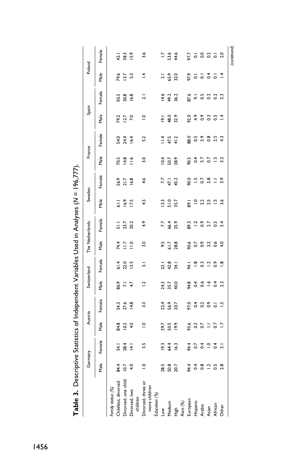| <b>Table 3.</b> Descriptive Statistics of Independent Variables Used in Analyses (N = 196,777) |                  |                 |                |                  |                   |                |                 |                |                |                |                 |                      |                  |                |               |                                                         |
|------------------------------------------------------------------------------------------------|------------------|-----------------|----------------|------------------|-------------------|----------------|-----------------|----------------|----------------|----------------|-----------------|----------------------|------------------|----------------|---------------|---------------------------------------------------------|
|                                                                                                | Germany          |                 | Austria        |                  | Switzerland       |                | The Netherlands |                | Sweden         |                | France          |                      | Spain            |                | Poland        |                                                         |
|                                                                                                | Male             | Female          | ౨<br>Σã        | Female           | Male              | Female         | Male            | Female         | Male           | Female         | Male            | Female               | Male             | Female         | Male          | Female                                                  |
| Family status (%)                                                                              |                  |                 |                |                  |                   |                |                 |                |                |                |                 |                      |                  |                |               |                                                         |
| Childless, divorced                                                                            | 84.4             | $\overline{54}$ | 84.8           | 54.3             | 86.9              | 61.4           | 74.4            | $\overline{5}$ | $\frac{1}{9}$  | 56.9           | 70.5            | 54.0                 | 79.2             | 50.3           | 79.6          | $\overline{42.1}$                                       |
| Divorced, one child                                                                            | 10.7             | 28.4            | 10.2           | 27.6             | 굱                 | 22.0           | $\overline{a}$  | 23.7           | 6.9            | 21.7           | 14.8            | 24.4                 | 12.7             | 30.8           | 13.7          | 38.3                                                    |
| Divorced, two<br>children                                                                      | 4.0              | $\frac{1}{4}$   | 4.0            | 14.8             | 4.7               | 13.5           | $\frac{1}{2}$   | 20.2           | 17.5           | 16.8           | $\frac{8}{11}$  | 16.4                 | $\overline{7.0}$ | 16.8           | $\frac{3}{2}$ | 15.9                                                    |
| Divorced, three or<br>more children                                                            | $\overline{a}$   | 3.5             | ∘              | 3.3              | $\overline{a}$    | ಸ              | 3.0             | 4.9            | 45             | 4.6            | 3.0             | 5.2                  | $\tilde{=}$      | ಸ              | $\bar{4}$     | 3.6                                                     |
| Education (%)                                                                                  |                  |                 |                |                  |                   |                |                 |                |                |                |                 |                      |                  |                |               |                                                         |
| Low                                                                                            | 28.5             | $\frac{2}{3}$   | 29.7           | 22.4             | 24.3              | 23.1           | 9.5             | 7.7            | $\frac{23}{2}$ | 7.7            | 10.4            | $\frac{4}{11}$       | 흐                | 14.6           | ಸ             | $\overline{a}$                                          |
| Medium                                                                                         | 50.8             | 64.4            | 5.03           | 56.9             | 35.7              | 42.8           | 61.7            | 66.4           | 51.0           | 47.1           | 50.7            | 47.5                 | 48.0             | 49.2           | 65.9          | 53.6                                                    |
| -<br>上<br>工                                                                                    | 20.7             | $\frac{2}{3}$   | 9.9            | 20.7             | 40.0              | 34.1           | 28.8            | 25.9           | 35.7           | 45.2           | 38.9            | 41.2                 | 32.9             | 36.2           | 32.0          | 44.6                                                    |
| Race (%)                                                                                       |                  |                 |                |                  |                   |                |                 |                |                |                |                 |                      |                  |                |               |                                                         |
| European                                                                                       | 94.4             | 94.4            | 95.6           | 97.0             | 94.8              | $\frac{1}{2}$  | 90.6            | 89.3           | 168            | 90.0           | 90.5            | 88.0                 | 92.0             | 87.6           | 97.9          | 97,7                                                    |
| Hispanic                                                                                       | $\overline{c}$   | $\overline{c}$  | ි              | $\overline{0.4}$ | $\overline{0}$    | $\frac{8}{1}$  | 0.7             | $\vec{c}$      | $\supseteq$    | $\tilde{=}$    | $\overline{6}$  | 3                    | 4.9              | 능              | 5             |                                                         |
| Arabic                                                                                         | $0.\overline{8}$ | $\overline{6}$  | $\overline{0}$ | $\overline{0}$   | 0.6               | $\overline{0}$ | $\ddot{\circ}$  | $\ddot{\circ}$ | 2.2            | $\overline{0}$ | $\overline{37}$ | 3.9                  | $\ddot{\circ}$   | ្ឃឹ            | 5             | $\frac{1}{6}$ $\frac{8}{6}$ $\frac{3}{6}$ $\frac{1}{6}$ |
| Asian                                                                                          | $\vec{c}$        | ∘               | Ξ              | $\delta$         | $\tilde{=}$       | $\Xi$          | 3.2             | 2.7            | 2.5            | 2.8            | $\overline{0}$  | $_{\rm 0.8}^{\rm 8}$ | ි                | $\mathfrak{S}$ | 0.4           |                                                         |
| African                                                                                        | c5               | $\overline{6}$  | $\overline{0}$ | $\overline{5}$   | $\overline{0}$ .4 | $\ddot{\circ}$ | $\delta$        | ្ល             | $\tilde{\Xi}$  | Ξ              | $\frac{15}{3}$  | 2.5                  | ៉                | $\Omega$       | ਡ             |                                                         |
| Other                                                                                          | 2.8              | $\overline{a}$  | ₫              | $\ddot{ }$       | 2.2               | $\tilde{=}$    | 4.0             | 5.4            | 3.6            | 3.9            |                 | $\frac{3}{4}$        | $\bar{z}$        | 23             | 츠             | 2.0                                                     |
|                                                                                                |                  |                 |                |                  |                   |                |                 |                |                |                |                 |                      |                  |                |               | (continued                                              |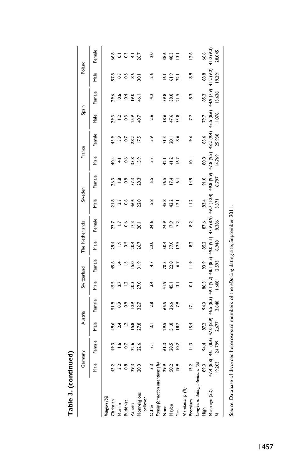|                                 | Germany        |                | Austria         |               | Switzerland |                  | The Netherlands |                 | Sweden         |               | France     |                 | Spain      |                | Poland         |            |
|---------------------------------|----------------|----------------|-----------------|---------------|-------------|------------------|-----------------|-----------------|----------------|---------------|------------|-----------------|------------|----------------|----------------|------------|
|                                 | Male           | Female         | Male            | Female        | Male        | Female           | Male            | Female          | Male           | Female        | Male       | Female          | Male       | Female         | Male           | Female     |
| Religion (%)                    |                |                |                 |               |             |                  |                 |                 |                |               |            |                 |            |                |                |            |
| Christian                       | 43.2           | 493            | 49.6            |               | 45.5        | 45.6             | 28.4            | 27.7            | 21.8           | 26.3          | 40.4       | 43.9            | 293        | 29.6           | 57.8           | 66.8       |
| Muslim                          | 3.2            |                | $\frac{4}{3}$   | ွ             | 27          | 7                | ≘               | Ξ               | 3.3            | ≌             | 4          | ్లి             |            | ఠ              | $\ddot{\circ}$ | ਡ          |
| <b>Buddhist</b>                 | $\frac{8}{10}$ | $\overline{0}$ | ≌               | ိ             | ≌           | ≌                | ప               | $\frac{6}{5}$   | $\frac{6}{10}$ | $\frac{8}{2}$ | ఠ          | $\overline{0}$  | ွ          | $\overline{6}$ | 3.0            | 3          |
| Atheist                         | 29.3           | 22.6           | 5.8             | $\frac{6}{9}$ | 20.3        | 5.0              | 20.4            | $\overline{13}$ | 46.6           | 37.3          | 33.8       | 28.2            | 25.9       | 9.0            | 8.6            | ₹          |
| Nonreligious<br>believer        | 20.3           | 22.6           | 27.8            | 32.7          | 27.0        | $\frac{31.9}{2}$ | 26.7            | 28.1            | 22.0           | 28.3          | 15.9       | 17.5            | 40.7       | 46.1           | ្ល             | 26.7       |
| Other                           | 3.3            | m              | ಸ               | 2.8           | 3.4         | 4.7              | 22.0            | 24.6            | 5.8            | 5.5           | ິລ         | 5.9             | 2.6        | 42             | 2.6            | 2.0        |
| Family formation intentions (%) |                |                |                 |               |             |                  |                 |                 |                |               |            |                 |            |                |                |            |
| None                            | 29.9           | $\frac{3}{5}$  | 29.5            | 65.5          | $rac{9}{4}$ | 70.5             | 50.4            | 74.9            | 45.8           | 76.5          | 42.        |                 | 18.6       | 39.8           | ڣ              | 38.6       |
| Maybe                           | 50.2           | 28.5           | $\frac{8}{10}$  | 26.6          | 45.1        | 22.8             | 37.0            | 17.9            | 42.2           | 17.4          | 41.2       | $\overline{20}$ | 47.6       | 38.8           | 61.9           | 48.3       |
| Yes                             | 19.9           | 10.2           | $\overline{87}$ | 7.9           | ø           | 6.7              | 12.5            | 7.2             | Ξ.             | Ġ             | 16.7       | జ               | 33.8       | 21.5           | 22.1           | ë          |
| Membership (%)                  |                |                |                 |               |             |                  |                 |                 |                |               |            |                 |            |                |                |            |
| Premium                         | 13.2           | $\frac{3}{4}$  | 15.4            | $\bar{z}$     | Ξ           | $\tilde{=}$      | 8.2             | 8.2             | $\tilde{=}$    | 4.9           | ₫          | 9.6             | 77         | 3              | 8.9            | 12.6       |
| Long-term dating intentions (%) |                |                |                 |               |             |                  |                 |                 |                |               |            |                 |            |                |                |            |
| 高王                              | 89.0           | 94.4           | 87.2            | 94.0          | 86.3        | 93.9             | 85.2            | 87.6            | 83.4           | 0.16          | 80.3       | 85.6            | 79.7       | 85.3           | 68.8           | 66.6       |
| Mean age (SD)                   | 47.4 (8.8)     | 46.1 (8.6)     | 47.0 (8.9)      | 46.5 (8.3)    | 49.1 (9.2)  | 48.1 (8.5)       | 49.0 (9.1)      | 47.9 (8.9)      | 49.7 (10.4)    | 49.8 (9.9)    | 47.8 (9.5) | 48.2 (9.4)      | 45.5 (8.6) | 44.9 (7.9)     | 41.2 (9.2)     | 41.0 (9.3) |
| z                               | 19,203         | 24,799         | 2,677           | 3,640         | 1,608       | 2,593            | 6,948           | 8,386           | 5,371          | 6,797         | 14,769     | 25,938          | 11,076     | 15,636         | 19,29          | 28,045     |
|                                 |                |                |                 |               |             |                  |                 |                 |                |               |            |                 |            |                |                |            |

**Table 3. (continued)**

Table 3. (continued)

Source. Database of divorced heterosexual members of the eDarling dating site, September 2011. *Source*. Database of divorced heterosexual members of the *eDarling* dating site, September 2011.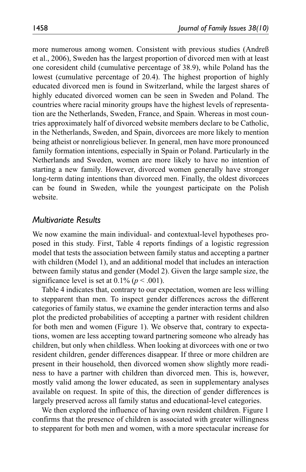more numerous among women. Consistent with previous studies (Andreß et al., 2006), Sweden has the largest proportion of divorced men with at least one coresident child (cumulative percentage of 38.9), while Poland has the lowest (cumulative percentage of 20.4). The highest proportion of highly educated divorced men is found in Switzerland, while the largest shares of highly educated divorced women can be seen in Sweden and Poland. The countries where racial minority groups have the highest levels of representation are the Netherlands, Sweden, France, and Spain. Whereas in most countries approximately half of divorced website members declare to be Catholic, in the Netherlands, Sweden, and Spain, divorcees are more likely to mention being atheist or nonreligious believer. In general, men have more pronounced family formation intentions, especially in Spain or Poland. Particularly in the Netherlands and Sweden, women are more likely to have no intention of starting a new family. However, divorced women generally have stronger long-term dating intentions than divorced men. Finally, the oldest divorcees can be found in Sweden, while the youngest participate on the Polish website.

### *Multivariate Results*

We now examine the main individual- and contextual-level hypotheses proposed in this study. First, Table 4 reports findings of a logistic regression model that tests the association between family status and accepting a partner with children (Model 1), and an additional model that includes an interaction between family status and gender (Model 2). Given the large sample size, the significance level is set at  $0.1\%$  ( $p < .001$ ).

Table 4 indicates that, contrary to our expectation, women are less willing to stepparent than men. To inspect gender differences across the different categories of family status, we examine the gender interaction terms and also plot the predicted probabilities of accepting a partner with resident children for both men and women (Figure 1). We observe that, contrary to expectations, women are less accepting toward partnering someone who already has children, but only when childless. When looking at divorcees with one or two resident children, gender differences disappear. If three or more children are present in their household, then divorced women show slightly more readiness to have a partner with children than divorced men. This is, however, mostly valid among the lower educated, as seen in supplementary analyses available on request. In spite of this, the direction of gender differences is largely preserved across all family status and educational-level categories.

We then explored the influence of having own resident children. Figure 1 confirms that the presence of children is associated with greater willingness to stepparent for both men and women, with a more spectacular increase for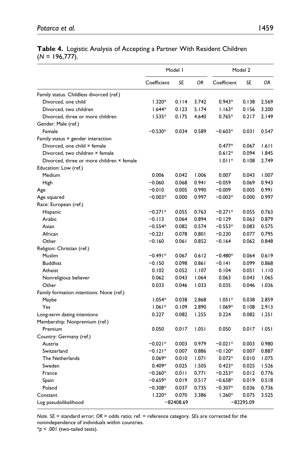|                                           |             | Model I     |       |             | Model 2     |       |
|-------------------------------------------|-------------|-------------|-------|-------------|-------------|-------|
|                                           | Coefficient | SE          | OR    | Coefficient | SE          | OR.   |
| Family status: Childless divorced (ref.)  |             |             |       |             |             |       |
| Divorced, one child                       | $1.320*$    | 0.114       | 3.742 | $0.943*$    | 0.138       | 2.569 |
| Divorced, two children                    | $1.644*$    | 0.123       | 5.174 | $1.163*$    | 0.156       | 3.200 |
| Divorced, three or more children          | $1.535*$    | 0.175       | 4.640 | $0.765*$    | 0.217       | 2.149 |
| Gender: Male (ref.)                       |             |             |       |             |             |       |
| Female                                    | $-0.530*$   | 0.034       | 0.589 | $-0.603*$   | 0.031       | 0.547 |
| Family status × gender interaction        |             |             |       |             |             |       |
| Divorced, one child × female              |             |             |       | $0.477*$    | 0.067       | 1.611 |
| Divorced, two children × female           |             |             |       | $0.612*$    | 0.094       | 1.845 |
| Divorced, three or more children × female |             |             |       | $1.011*$    | 0.108       | 2.749 |
| Education: Low (ref.)                     |             |             |       |             |             |       |
| Medium                                    | 0.006       | 0.042       | 1.006 | 0.007       | 0.043       | 1.007 |
| High                                      | $-0.060$    | 0.068       | 0.941 | $-0.059$    | 0.069       | 0.943 |
| Age                                       | $-0.010$    | 0.005       | 0.990 | $-0.009$    | 0.005       | 0.991 |
| Age squared                               | $-0.003*$   | 0.000       | 0.997 | $-0.003*$   | 0.000       | 0.997 |
| Race: European (ref.)                     |             |             |       |             |             |       |
| Hispanic                                  | $-0.271*$   | 0.055       | 0.763 | $-0.271*$   | 0.055       | 0.763 |
| Arabic                                    | $-0.113$    | 0.064       | 0.894 | $-0.129$    | 0.063       | 0.879 |
| Asian                                     | $-0.554*$   | 0.082       | 0.574 | $-0.553*$   | 0.083       | 0.575 |
| African                                   | $-0.221$    | 0.078       | 0.801 | $-0.230$    | 0.077       | 0.795 |
| Other                                     | $-0.160$    | 0.061       | 0.852 | $-0.164$    | 0.062       | 0.848 |
| Religion: Christian (ref.)                |             |             |       |             |             |       |
| Muslim                                    | $-0.491*$   | 0.067       | 0.612 | $-0.480*$   | 0.064       | 0.619 |
| <b>Buddhist</b>                           | $-0.150$    | 0.098       | 0.861 | $-0.141$    | 0.099       | 0.868 |
| Atheist                                   | 0.102       | 0.052       | 1.107 | 0.104       | 0.051       | 1.110 |
| Nonreligious believer                     | 0.062       | 0.043       | 1.064 | 0.063       | 0.043       | 1.065 |
| Other                                     | 0.033       | 0.046       | 1.033 | 0.035       | 0.046       | 1.036 |
| Family formation intentions: None (ref.)  |             |             |       |             |             |       |
| Maybe                                     | $1.054*$    | 0.038       | 2.868 | $1.051*$    | 0.038       | 2.859 |
| Yes                                       | $1.061*$    | 0.109       | 2.890 | $1.069*$    | 0.108       | 2.913 |
| Long-term dating intentions               | 0.227       | 0.082       | 1.255 | 0.224       | 0.082       | 1.251 |
| Membership: Nonpremium (ref.)             |             |             |       |             |             |       |
| Premium                                   | 0.050       | 0.017       | 1.051 | 0.050       | 0.017       | 1.051 |
| Country: Germany (ref.)                   |             |             |       |             |             |       |
| Austria                                   | $-0.021*$   | 0.003       | 0.979 | $-0.021*$   | 0.003       | 0.980 |
| Switzerland                               | $-0.121*$   | 0.007       | 0.886 | $-0.120*$   | 0.007       | 0.887 |
| The Netherlands                           | $0.069*$    | 0.010       | 1.071 | $0.072*$    | 0.010       | 1.075 |
| Sweden                                    | $0.409*$    | 0.025       | 1.505 | $0.423*$    | 0.025       | 1.526 |
| France                                    | $-0.260*$   | 0.011       | 0.771 | $-0.253*$   | 0.012       | 0.776 |
| Spain                                     | $-0.659*$   | 0.019       | 0.517 | $-0.658*$   | 0.019       | 0.518 |
| Poland                                    | $-0.308*$   | 0.037       | 0.735 | $-0.307*$   | 0.036       | 0.736 |
| Constant                                  | $1.220*$    | 0.070       | 3.386 | $1.260*$    | 0.075       | 3.525 |
| Log pseudolikelihood                      |             | $-82408.69$ |       |             | $-82295.09$ |       |

## **Table 4.** Logistic Analysis of Accepting a Partner With Resident Children (*N* = 196,777).

*Note. SE* = standard error; *OR* = odds ratio; ref. = reference category. *SE*s are corrected for the

nonindependence of individuals within countries.

\**p* < .001 (two-tailed tests).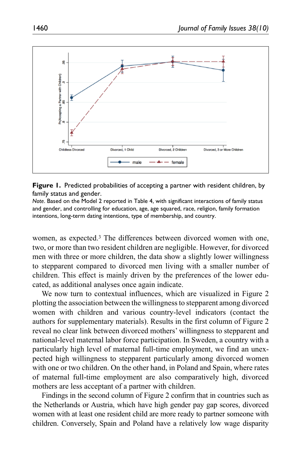

**Figure 1.** Predicted probabilities of accepting a partner with resident children, by family status and gender.

*Note*. Based on the Model 2 reported in Table 4, with significant interactions of family status and gender, and controlling for education, age, age squared, race, religion, family formation intentions, long-term dating intentions, type of membership, and country.

women, as expected.<sup>3</sup> The differences between divorced women with one, two, or more than two resident children are negligible. However, for divorced men with three or more children, the data show a slightly lower willingness to stepparent compared to divorced men living with a smaller number of children. This effect is mainly driven by the preferences of the lower educated, as additional analyses once again indicate.

We now turn to contextual influences, which are visualized in Figure 2 plotting the association between the willingness to stepparent among divorced women with children and various country-level indicators (contact the authors for supplementary materials). Results in the first column of Figure 2 reveal no clear link between divorced mothers' willingness to stepparent and national-level maternal labor force participation. In Sweden, a country with a particularly high level of maternal full-time employment, we find an unexpected high willingness to stepparent particularly among divorced women with one or two children. On the other hand, in Poland and Spain, where rates of maternal full-time employment are also comparatively high, divorced mothers are less acceptant of a partner with children.

Findings in the second column of Figure 2 confirm that in countries such as the Netherlands or Austria, which have high gender pay gap scores, divorced women with at least one resident child are more ready to partner someone with children. Conversely, Spain and Poland have a relatively low wage disparity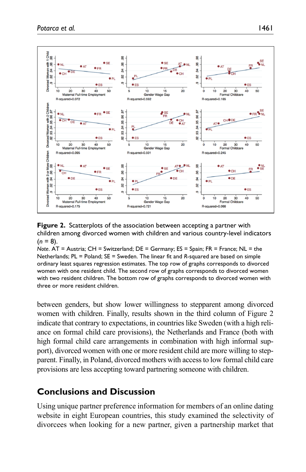

**Figure 2.** Scatterplots of the association between accepting a partner with children among divorced women with children and various country-level indicators  $(n = 8)$ .

*Note*. AT = Austria; CH = Switzerland; DE = Germany; ES = Spain; FR = France; NL = the Netherlands; PL = Poland; SE = Sweden. The linear fit and *R*-squared are based on simple ordinary least squares regression estimates. The top row of graphs corresponds to divorced women with one resident child. The second row of graphs corresponds to divorced women with two resident children. The bottom row of graphs corresponds to divorced women with three or more resident children.

between genders, but show lower willingness to stepparent among divorced women with children. Finally, results shown in the third column of Figure 2 indicate that contrary to expectations, in countries like Sweden (with a high reliance on formal child care provisions), the Netherlands and France (both with high formal child care arrangements in combination with high informal support), divorced women with one or more resident child are more willing to stepparent. Finally, in Poland, divorced mothers with access to low formal child care provisions are less accepting toward partnering someone with children.

# **Conclusions and Discussion**

Using unique partner preference information for members of an online dating website in eight European countries, this study examined the selectivity of divorcees when looking for a new partner, given a partnership market that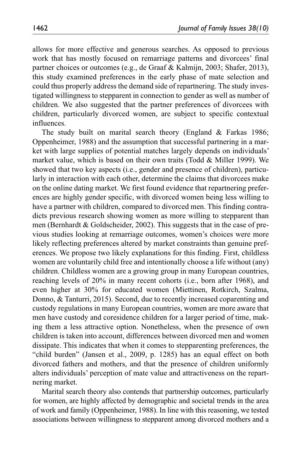allows for more effective and generous searches. As opposed to previous work that has mostly focused on remarriage patterns and divorcees' final partner choices or outcomes (e.g., de Graaf & Kalmijn, 2003; Shafer, 2013), this study examined preferences in the early phase of mate selection and could thus properly address the demand side of repartnering. The study investigated willingness to stepparent in connection to gender as well as number of children. We also suggested that the partner preferences of divorcees with children, particularly divorced women, are subject to specific contextual influences.

The study built on marital search theory (England & Farkas 1986; Oppenheimer, 1988) and the assumption that successful partnering in a market with large supplies of potential matches largely depends on individuals' market value, which is based on their own traits (Todd  $&$  Miller 1999). We showed that two key aspects (i.e., gender and presence of children), particularly in interaction with each other, determine the claims that divorcees make on the online dating market. We first found evidence that repartnering preferences are highly gender specific, with divorced women being less willing to have a partner with children, compared to divorced men. This finding contradicts previous research showing women as more willing to stepparent than men (Bernhardt & Goldscheider, 2002). This suggests that in the case of previous studies looking at remarriage outcomes, women's choices were more likely reflecting preferences altered by market constraints than genuine preferences. We propose two likely explanations for this finding. First, childless women are voluntarily child free and intentionally choose a life without (any) children. Childless women are a growing group in many European countries, reaching levels of 20% in many recent cohorts (i.e., born after 1968), and even higher at 30% for educated women (Miettinen, Rotkirch, Szalma, Donno, & Tanturri, 2015). Second, due to recently increased coparenting and custody regulations in many European countries, women are more aware that men have custody and coresidence children for a larger period of time, making them a less attractive option. Nonetheless, when the presence of own children is taken into account, differences between divorced men and women dissipate. This indicates that when it comes to stepparenting preferences, the "child burden" (Jansen et al., 2009, p. 1285) has an equal effect on both divorced fathers and mothers, and that the presence of children uniformly alters individuals' perception of mate value and attractiveness on the repartnering market.

Marital search theory also contends that partnership outcomes, particularly for women, are highly affected by demographic and societal trends in the area of work and family (Oppenheimer, 1988). In line with this reasoning, we tested associations between willingness to stepparent among divorced mothers and a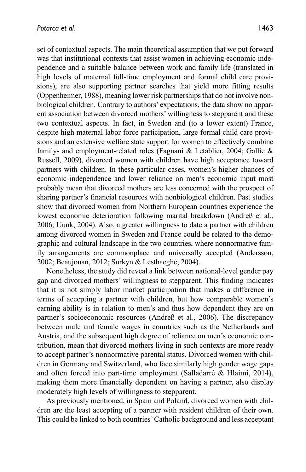set of contextual aspects. The main theoretical assumption that we put forward was that institutional contexts that assist women in achieving economic independence and a suitable balance between work and family life (translated in high levels of maternal full-time employment and formal child care provisions), are also supporting partner searches that yield more fitting results (Oppenheimer, 1988), meaning lower risk partnerships that do not involve nonbiological children. Contrary to authors' expectations, the data show no apparent association between divorced mothers' willingness to stepparent and these two contextual aspects. In fact, in Sweden and (to a lower extent) France, despite high maternal labor force participation, large formal child care provisions and an extensive welfare state support for women to effectively combine family- and employment-related roles (Fagnani & Letablier, 2004; Gallie & Russell, 2009), divorced women with children have high acceptance toward partners with children. In these particular cases, women's higher chances of economic independence and lower reliance on men's economic input most probably mean that divorced mothers are less concerned with the prospect of sharing partner's financial resources with nonbiological children. Past studies show that divorced women from Northern European countries experience the lowest economic deterioration following marital breakdown (Andreß et al., 2006; Uunk, 2004). Also, a greater willingness to date a partner with children among divorced women in Sweden and France could be related to the demographic and cultural landscape in the two countries, where nonnormative family arrangements are commonplace and universally accepted (Andersson, 2002; Beaujouan, 2012; Surkyn & Lesthaeghe, 2004).

Nonetheless, the study did reveal a link between national-level gender pay gap and divorced mothers' willingness to stepparent. This finding indicates that it is not simply labor market participation that makes a difference in terms of accepting a partner with children, but how comparable women's earning ability is in relation to men's and thus how dependent they are on partner's socioeconomic resources (Andreß et al., 2006). The discrepancy between male and female wages in countries such as the Netherlands and Austria, and the subsequent high degree of reliance on men's economic contribution, mean that divorced mothers living in such contexts are more ready to accept partner's nonnormative parental status. Divorced women with children in Germany and Switzerland, who face similarly high gender wage gaps and often forced into part-time employment (Salladarré & Hlaimi, 2014), making them more financially dependent on having a partner, also display moderately high levels of willingness to stepparent.

As previously mentioned, in Spain and Poland, divorced women with children are the least accepting of a partner with resident children of their own. This could be linked to both countries' Catholic background and less acceptant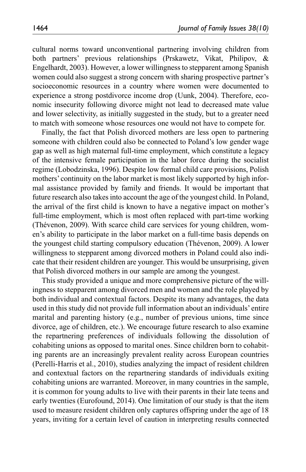cultural norms toward unconventional partnering involving children from both partners' previous relationships (Prskawetz, Vikat, Philipov, & Engelhardt, 2003). However, a lower willingness to stepparent among Spanish women could also suggest a strong concern with sharing prospective partner's socioeconomic resources in a country where women were documented to experience a strong postdivorce income drop (Uunk, 2004). Therefore, economic insecurity following divorce might not lead to decreased mate value and lower selectivity, as initially suggested in the study, but to a greater need to match with someone whose resources one would not have to compete for.

Finally, the fact that Polish divorced mothers are less open to partnering someone with children could also be connected to Poland's low gender wage gap as well as high maternal full-time employment, which constitute a legacy of the intensive female participation in the labor force during the socialist regime (Lobodzinska, 1996). Despite low formal child care provisions, Polish mothers' continuity on the labor market is most likely supported by high informal assistance provided by family and friends. It would be important that future research also takes into account the age of the youngest child. In Poland, the arrival of the first child is known to have a negative impact on mother's full-time employment, which is most often replaced with part-time working (Thévenon, 2009). With scarce child care services for young children, women's ability to participate in the labor market on a full-time basis depends on the youngest child starting compulsory education (Thévenon, 2009). A lower willingness to stepparent among divorced mothers in Poland could also indicate that their resident children are younger. This would be unsurprising, given that Polish divorced mothers in our sample are among the youngest.

This study provided a unique and more comprehensive picture of the willingness to stepparent among divorced men and women and the role played by both individual and contextual factors. Despite its many advantages, the data used in this study did not provide full information about an individuals' entire marital and parenting history (e.g., number of previous unions, time since divorce, age of children, etc.). We encourage future research to also examine the repartnering preferences of individuals following the dissolution of cohabiting unions as opposed to marital ones. Since children born to cohabiting parents are an increasingly prevalent reality across European countries (Perelli-Harris et al., 2010), studies analyzing the impact of resident children and contextual factors on the repartnering standards of individuals exiting cohabiting unions are warranted. Moreover, in many countries in the sample, it is common for young adults to live with their parents in their late teens and early twenties (Eurofound, 2014). One limitation of our study is that the item used to measure resident children only captures offspring under the age of 18 years, inviting for a certain level of caution in interpreting results connected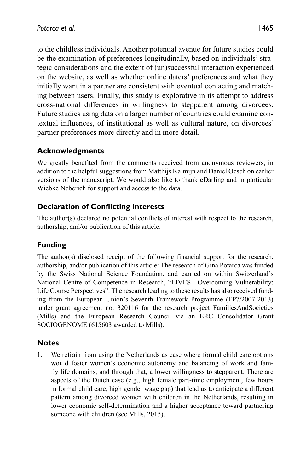to the childless individuals. Another potential avenue for future studies could be the examination of preferences longitudinally, based on individuals' strategic considerations and the extent of (un)successful interaction experienced on the website, as well as whether online daters' preferences and what they initially want in a partner are consistent with eventual contacting and matching between users. Finally, this study is explorative in its attempt to address cross-national differences in willingness to stepparent among divorcees. Future studies using data on a larger number of countries could examine contextual influences, of institutional as well as cultural nature, on divorcees' partner preferences more directly and in more detail.

## **Acknowledgments**

We greatly benefited from the comments received from anonymous reviewers, in addition to the helpful suggestions from Matthijs Kalmijn and Daniel Oesch on earlier versions of the manuscript. We would also like to thank eDarling and in particular Wiebke Neberich for support and access to the data.

## **Declaration of Conflicting Interests**

The author(s) declared no potential conflicts of interest with respect to the research, authorship, and/or publication of this article.

## **Funding**

The author(s) disclosed receipt of the following financial support for the research, authorship, and/or publication of this article: The research of Gina Potarca was funded by the Swiss National Science Foundation, and carried on within Switzerland's National Centre of Competence in Research, "LIVES—Overcoming Vulnerability: Life Course Perspectives". The research leading to these results has also received funding from the European Union's Seventh Framework Programme (FP7/2007-2013) under grant agreement no. 320116 for the research project FamiliesAndSocieties (Mills) and the European Research Council via an ERC Consolidator Grant SOCIOGENOME (615603 awarded to Mills).

### **Notes**

1. We refrain from using the Netherlands as case where formal child care options would foster women's economic autonomy and balancing of work and family life domains, and through that, a lower willingness to stepparent. There are aspects of the Dutch case (e.g., high female part-time employment, few hours in formal child care, high gender wage gap) that lead us to anticipate a different pattern among divorced women with children in the Netherlands, resulting in lower economic self-determination and a higher acceptance toward partnering someone with children (see Mills, 2015).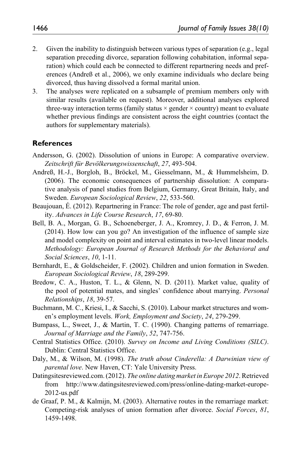- 2. Given the inability to distinguish between various types of separation (e.g., legal separation preceding divorce, separation following cohabitation, informal separation) which could each be connected to different repartnering needs and preferences (Andreß et al., 2006), we only examine individuals who declare being divorced, thus having dissolved a formal marital union.
- 3. The analyses were replicated on a subsample of premium members only with similar results (available on request). Moreover, additional analyses explored three-way interaction terms (family status  $\times$  gender  $\times$  country) meant to evaluate whether previous findings are consistent across the eight countries (contact the authors for supplementary materials).

#### **References**

- Andersson, G. (2002). Dissolution of unions in Europe: A comparative overview. *Zeitschrift für Bevölkerungswissenschaft*, *27*, 493-504.
- Andreß, H.-J., Borgloh, B., Bröckel, M., Giesselmann, M., & Hummelsheim, D. (2006). The economic consequences of partnership dissolution: A comparative analysis of panel studies from Belgium, Germany, Great Britain, Italy, and Sweden. *European Sociological Review*, *22*, 533-560.
- Beaujouan, É. (2012). Repartnering in France: The role of gender, age and past fertility. *Advances in Life Course Research*, *17*, 69-80.
- Bell, B. A., Morgan, G. B., Schoeneberger, J. A., Kromrey, J. D., & Ferron, J. M. (2014). How low can you go? An investigation of the influence of sample size and model complexity on point and interval estimates in two-level linear models. *Methodology: European Journal of Research Methods for the Behavioral and Social Sciences*, *10*, 1-11.
- Bernhardt, E., & Goldscheider, F. (2002). Children and union formation in Sweden. *European Sociological Review*, *18*, 289-299.
- Bredow, C. A., Huston, T. L., & Glenn, N. D. (2011). Market value, quality of the pool of potential mates, and singles' confidence about marrying. *Personal Relationships*, *18*, 39-57.
- Buchmann, M. C., Kriesi, I., & Sacchi, S. (2010). Labour market structures and women's employment levels. *Work, Employment and Society*, *24*, 279-299.
- Bumpass, L., Sweet, J., & Martin, T. C. (1990). Changing patterns of remarriage. *Journal of Marriage and the Family*, *52*, 747-756.
- Central Statistics Office. (2010). *Survey on Income and Living Conditions (SILC)*. Dublin: Central Statistics Office.
- Daly, M., & Wilson, M. (1998). *The truth about Cinderella: A Darwinian view of parental love*. New Haven, CT: Yale University Press.
- Datingsitesreviewed.com. (2012). *The online dating market in Europe 2012*. Retrieved from [http://www.datingsitesreviewed.com/press/online-dating-market-europe-](http://www.datingsitesreviewed.com/press/online-dating-market-europe-2012-us.pdf)[2012-us.pdf](http://www.datingsitesreviewed.com/press/online-dating-market-europe-2012-us.pdf)
- de Graaf, P. M., & Kalmijn, M. (2003). Alternative routes in the remarriage market: Competing-risk analyses of union formation after divorce. *Social Forces*, *81*, 1459-1498.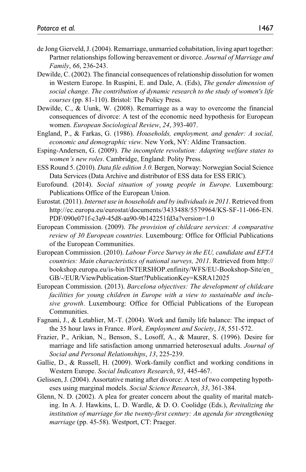- de Jong Gierveld, J. (2004). Remarriage, unmarried cohabitation, living apart together: Partner relationships following bereavement or divorce. *Journal of Marriage and Family*, *66*, 236-243.
- Dewilde, C. (2002). The financial consequences of relationship dissolution for women in Western Europe. In Ruspini, E. and Dale, A. (Eds), *The gender dimension of social change. The contribution of dynamic research to the study of women's life courses* (pp. 81-110). Bristol: The Policy Press.
- Dewilde, C., & Uunk, W. (2008). Remarriage as a way to overcome the financial consequences of divorce: A test of the economic need hypothesis for European women. *European Sociological Review*, *24*, 393-407.
- England, P., & Farkas, G. (1986). *Households, employment, and gender: A social, economic and demographic view*. New York, NY: Aldine Transaction.
- Esping-Andersen, G. (2009). *The incomplete revolution: Adapting welfare states to women's new roles*. Cambridge, England: Polity Press.
- ESS Round 5. (2010). *Data file edition 3.0*. Bergen, Norway: Norwegian Social Science Data Services (Data Archive and distributor of ESS data for ESS ERIC).
- Eurofound. (2014). *Social situation of young people in Europe*. Luxembourg: Publications Office of the European Union.
- Eurostat. (2011). *Internet use in households and by individuals in 2011*. Retrieved from [http://ec.europa.eu/eurostat/documents/3433488/5579964/KS-SF-11-066-EN.](http://ec.europa.eu/eurostat/documents/3433488/5579964/KS-SF-11-066-EN.PDF/090e071f-c3a9-45d8-aa90-9b142251fd3a?version=1.0) [PDF/090e071f-c3a9-45d8-aa90-9b142251fd3a?version=1.0](http://ec.europa.eu/eurostat/documents/3433488/5579964/KS-SF-11-066-EN.PDF/090e071f-c3a9-45d8-aa90-9b142251fd3a?version=1.0)
- European Commission. (2009). *The provision of childcare services: A comparative review of 30 European countries.* Luxembourg: Office for Official Publications of the European Communities.
- European Commission. (2010). *Labour Force Survey in the EU, candidate and EFTA countries: Main characteristics of national surveys, 2011*. Retrieved from [http://](http://bookshop.europa.eu/is-bin/INTERSHOP.enfinity/WFS/EU-Bookshop-Site/en_GB/-/EUR/ViewPublication-Start?PublicationKey=KSRA12025) [bookshop.europa.eu/is-bin/INTERSHOP.enfinity/WFS/EU-Bookshop-Site/en\\_](http://bookshop.europa.eu/is-bin/INTERSHOP.enfinity/WFS/EU-Bookshop-Site/en_GB/-/EUR/ViewPublication-Start?PublicationKey=KSRA12025) [GB/-/EUR/ViewPublication-Start?PublicationKey=KSRA12025](http://bookshop.europa.eu/is-bin/INTERSHOP.enfinity/WFS/EU-Bookshop-Site/en_GB/-/EUR/ViewPublication-Start?PublicationKey=KSRA12025)
- European Commission. (2013). *Barcelona objectives: The development of childcare facilities for young children in Europe with a view to sustainable and inclusive growth*. Luxembourg: Office for Official Publications of the European Communities.
- Fagnani, J., & Letablier, M.-T. (2004). Work and family life balance: The impact of the 35 hour laws in France. *Work, Employment and Society*, *18*, 551-572.
- Frazier, P., Arikian, N., Benson, S., Losoff, A., & Maurer, S. (1996). Desire for marriage and life satisfaction among unmarried heterosexual adults. *Journal of Social and Personal Relationships*, *13*, 225-239.
- Gallie, D., & Russell, H. (2009). Work-family conflict and working conditions in Western Europe. *Social Indicators Research*, *93*, 445-467.
- Gelissen, J. (2004). Assortative mating after divorce: A test of two competing hypotheses using marginal models. *Social Science Research*, *33*, 361-384.
- Glenn, N. D. (2002). A plea for greater concern about the quality of marital matching. In A. J. Hawkins, L. D. Wardle, & D. O. Coolidge (Eds.), *Revitalizing the institution of marriage for the twenty-first century: An agenda for strengthening marriage* (pp. 45-58). Westport, CT: Praeger.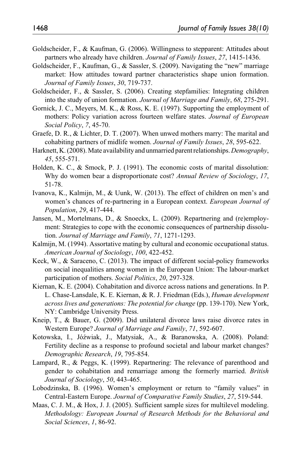- Goldscheider, F., & Kaufman, G. (2006). Willingness to stepparent: Attitudes about partners who already have children. *Journal of Family Issues*, *27*, 1415-1436.
- Goldscheider, F., Kaufman, G., & Sassler, S. (2009). Navigating the "new" marriage market: How attitudes toward partner characteristics shape union formation. *Journal of Family Issues*, *30*, 719-737.
- Goldscheider, F., & Sassler, S. (2006). Creating stepfamilies: Integrating children into the study of union formation. *Journal of Marriage and Family*, *68*, 275-291.
- Gornick, J. C., Meyers, M. K., & Ross, K. E. (1997). Supporting the employment of mothers: Policy variation across fourteen welfare states. *Journal of European Social Policy*, *7*, 45-70.
- Graefe, D. R., & Lichter, D. T. (2007). When unwed mothers marry: The marital and cohabiting partners of midlife women. *Journal of Family Issues*, *28*, 595-622.
- Harknett, K. (2008). Mate availability and unmarried parent relationships. *Demography*, *45*, 555-571.
- Holden, K. C., & Smock, P. J. (1991). The economic costs of marital dissolution: Why do women bear a disproportionate cost? *Annual Review of Sociology*, *17*, 51-78.
- Ivanova, K., Kalmijn, M., & Uunk, W. (2013). The effect of children on men's and women's chances of re-partnering in a European context. *European Journal of Population*, *29*, 417-444.
- Jansen, M., Mortelmans, D., & Snoeckx, L. (2009). Repartnering and (re)employment: Strategies to cope with the economic consequences of partnership dissolution. *Journal of Marriage and Family*, *71*, 1271-1293.
- Kalmijn, M. (1994). Assortative mating by cultural and economic occupational status. *American Journal of Sociology*, *100*, 422-452.
- Keck, W., & Saraceno, C. (2013). The impact of different social-policy frameworks on social inequalities among women in the European Union: The labour-market participation of mothers. *Social Politics*, *20*, 297-328.
- Kiernan, K. E. (2004). Cohabitation and divorce across nations and generations. In P. L. Chase-Lansdale, K. E. Kiernan, & R. J. Friedman (Eds.), *Human development across lives and generations: The potential for change* (pp. 139-170). New York, NY: Cambridge University Press.
- Kneip, T., & Bauer, G. (2009). Did unilateral divorce laws raise divorce rates in Western Europe? *Journal of Marriage and Family*, *71*, 592-607.
- Kotowska, I., Jóźwiak, J., Matysiak, A., & Baranowska, A. (2008). Poland: Fertility decline as a response to profound societal and labour market changes? *Demographic Research*, *19*, 795-854.
- Lampard, R., & Peggs, K. (1999). Repartnering: The relevance of parenthood and gender to cohabitation and remarriage among the formerly married. *British Journal of Sociology*, *50*, 443-465.
- Lobodzinska, B. (1996). Women's employment or return to "family values" in Central-Eastern Europe. *Journal of Comparative Family Studies*, *27*, 519-544.
- Maas, C. J. M., & Hox, J. J. (2005). Sufficient sample sizes for multilevel modeling. *Methodology: European Journal of Research Methods for the Behavioral and Social Sciences*, *1*, 86-92.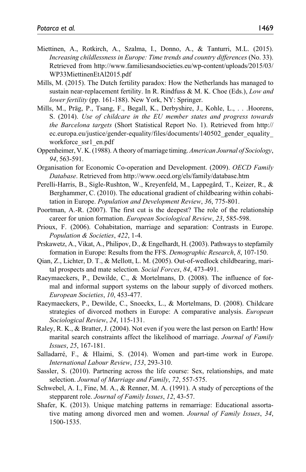- Miettinen, A., Rotkirch, A., Szalma, I., Donno, A., & Tanturri, M.L. (2015). *Increasing childlessness in Europe: Time trends and country differences* (No. 33). Retrieved from [http://www.familiesandsocieties.eu/wp-content/uploads/2015/03/](http://www.familiesandsocieties.eu/wp-content/uploads/2015/03/WP33MiettinenEtAl2015.pdf) [WP33MiettinenEtAl2015.pdf](http://www.familiesandsocieties.eu/wp-content/uploads/2015/03/WP33MiettinenEtAl2015.pdf)
- Mills, M. (2015). The Dutch fertility paradox: How the Netherlands has managed to sustain near-replacement fertility. In R. Rindfuss & M. K. Choe (Eds.), *Low and lower fertility* (pp. 161-188). New York, NY: Springer.
- Mills, M., Präg, P., Tsang, F., Begall, K., Derbyshire, J., Kohle, L., . . .Hoorens, S. (2014). *Use of childcare in the EU member states and progress towards the Barcelona targets* (Short Statistical Report No. 1). Retrieved from [http://](http://ec.europa.eu/justice/gender-equality/files/documents/140502_gender_equality_workforce_ssr1_en.pdf) [ec.europa.eu/justice/gender-equality/files/documents/140502\\_gender\\_equality\\_](http://ec.europa.eu/justice/gender-equality/files/documents/140502_gender_equality_workforce_ssr1_en.pdf) [workforce\\_ssr1\\_en.pdf](http://ec.europa.eu/justice/gender-equality/files/documents/140502_gender_equality_workforce_ssr1_en.pdf)
- Oppenheimer, V. K. (1988). A theory of marriage timing. *American Journal of Sociology*, *94*, 563-591.
- Organisation for Economic Co-operation and Development. (2009). *OECD Family Database*. Retrieved from <http://www.oecd.org/els/family/database.htm>
- Perelli-Harris, B., Sigle-Rushton, W., Kreyenfeld, M., Lappegård, T., Keizer, R., & Berghammer, C. (2010). The educational gradient of childbearing within cohabitation in Europe. *Population and Development Review*, *36*, 775-801.
- Poortman, A.-R. (2007). The first cut is the deepest? The role of the relationship career for union formation. *European Sociological Review*, *23*, 585-598.
- Prioux, F. (2006). Cohabitation, marriage and separation: Contrasts in Europe. *Population & Societies*, *422*, 1-4.
- Prskawetz, A., Vikat, A., Philipov, D., & Engelhardt, H. (2003). Pathways to stepfamily formation in Europe: Results from the FFS. *Demographic Research*, *8*, 107-150.
- Qian, Z., Lichter, D. T., & Mellott, L. M. (2005). Out-of-wedlock childbearing, marital prospects and mate selection. *Social Forces*, *84*, 473-491.
- Raeymaeckers, P., Dewilde, C., & Mortelmans, D. (2008). The influence of formal and informal support systems on the labour supply of divorced mothers. *European Societies*, *10*, 453-477.
- Raeymaeckers, P., Dewilde, C., Snoeckx, L., & Mortelmans, D. (2008). Childcare strategies of divorced mothers in Europe: A comparative analysis. *European Sociological Review*, *24*, 115-131.
- Raley, R. K., & Bratter, J. (2004). Not even if you were the last person on Earth! How marital search constraints affect the likelihood of marriage. *Journal of Family Issues*, *25*, 167-181.
- Salladarré, F., & Hlaimi, S. (2014). Women and part-time work in Europe. *International Labour Review*, *153*, 293-310.
- Sassler, S. (2010). Partnering across the life course: Sex, relationships, and mate selection. *Journal of Marriage and Family*, *72*, 557-575.
- Schwebel, A. I., Fine, M. A., & Renner, M. A. (1991). A study of perceptions of the stepparent role. *Journal of Family Issues*, *12*, 43-57.
- Shafer, K. (2013). Unique matching patterns in remarriage: Educational assortative mating among divorced men and women. *Journal of Family Issues*, *34*, 1500-1535.